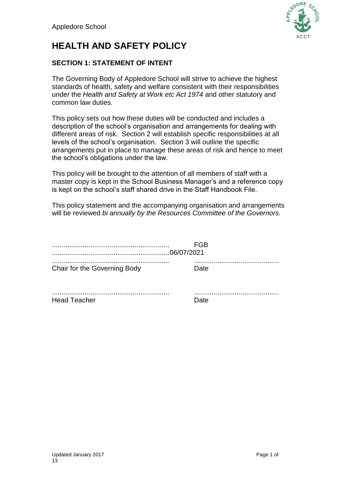

# **HEALTH AND SAFETY POLICY**

## **SECTION 1: STATEMENT OF INTENT**

The Governing Body of Appledore School will strive to achieve the highest standards of health, safety and welfare consistent with their responsibilities under the *Health and Safety at Work etc Act 1974* and other statutory and common law duties.

This policy sets out how these duties will be conducted and includes a description of the school's organisation and arrangements for dealing with different areas of risk. Section 2 will establish specific responsibilities at all levels of the school's organisation. Section 3 will outline the specific arrangements put in place to manage these areas of risk and hence to meet the school's obligations under the law.

This policy will be brought to the attention of all members of staff with a master copy is kept in the School Business Manager's and a reference copy is kept on the school's staff shared drive in the Staff Handbook File.

This policy statement and the accompanying organisation and arrangements will be reviewed *bi annually by the Resources Committee of the Governors.*

|                              | FGB  |  |
|------------------------------|------|--|
| Chair for the Governing Body | Date |  |
|                              |      |  |

Head Teacher **Date**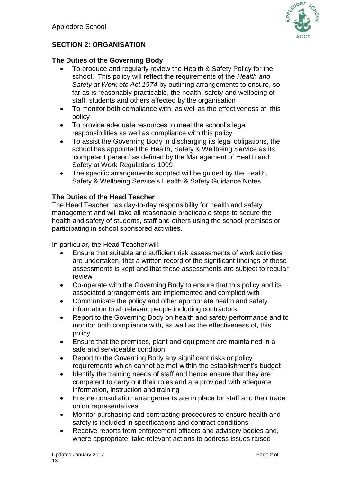

# **SECTION 2: ORGANISATION**

## **The Duties of the Governing Body**

- To produce and regularly review the Health & Safety Policy for the school. This policy will reflect the requirements of the *Health and Safety at Work etc Act 1974* by outlining arrangements to ensure, so far as is reasonably practicable, the health, safety and wellbeing of staff, students and others affected by the organisation
- To monitor both compliance with, as well as the effectiveness of, this policy
- To provide adequate resources to meet the school's legal responsibilities as well as compliance with this policy
- To assist the Governing Body in discharging its legal obligations, the school has appointed the Health, Safety & Wellbeing Service as its 'competent person' as defined by the Management of Health and Safety at Work Regulations 1999
- The specific arrangements adopted will be quided by the Health, Safety & Wellbeing Service's Health & Safety Guidance Notes.

## **The Duties of the Head Teacher**

The Head Teacher has day-to-day responsibility for health and safety management and will take all reasonable practicable steps to secure the health and safety of students, staff and others using the school premises or participating in school sponsored activities.

In particular, the Head Teacher will:

- Ensure that suitable and sufficient risk assessments of work activities are undertaken, that a written record of the significant findings of these assessments is kept and that these assessments are subject to regular review
- Co-operate with the Governing Body to ensure that this policy and its associated arrangements are implemented and complied with
- Communicate the policy and other appropriate health and safety information to all relevant people including contractors
- Report to the Governing Body on health and safety performance and to monitor both compliance with, as well as the effectiveness of, this policy
- Ensure that the premises, plant and equipment are maintained in a safe and serviceable condition
- Report to the Governing Body any significant risks or policy requirements which cannot be met within the establishment's budget
- Identify the training needs of staff and hence ensure that they are competent to carry out their roles and are provided with adequate information, instruction and training
- Ensure consultation arrangements are in place for staff and their trade union representatives
- Monitor purchasing and contracting procedures to ensure health and safety is included in specifications and contract conditions
- Receive reports from enforcement officers and advisory bodies and, where appropriate, take relevant actions to address issues raised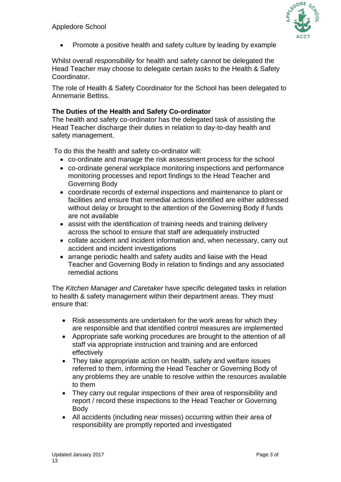

• Promote a positive health and safety culture by leading by example

Whilst overall *responsibility* for health and safety cannot be delegated the Head Teacher may choose to delegate certain *tasks* to the Health & Safety Coordinator.

The role of Health & Safety Coordinator for the School has been delegated to Annemarie Bettiss.

## **The Duties of the Health and Safety Co-ordinator**

The health and safety co-ordinator has the delegated task of assisting the Head Teacher discharge their duties in relation to day-to-day health and safety management.

To do this the health and safety co-ordinator will:

- co-ordinate and manage the risk assessment process for the school
- co-ordinate general workplace monitoring inspections and performance monitoring processes and report findings to the Head Teacher and Governing Body
- coordinate records of external inspections and maintenance to plant or facilities and ensure that remedial actions identified are either addressed without delay or brought to the attention of the Governing Body if funds are not available
- assist with the identification of training needs and training delivery across the school to ensure that staff are adequately instructed
- collate accident and incident information and, when necessary, carry out accident and incident investigations
- arrange periodic health and safety audits and liaise with the Head Teacher and Governing Body in relation to findings and any associated remedial actions

The *Kitchen Manager and Caretaker* have specific delegated tasks in relation to health & safety management within their department areas*.* They must ensure that:

- Risk assessments are undertaken for the work areas for which they are responsible and that identified control measures are implemented
- Appropriate safe working procedures are brought to the attention of all staff via appropriate instruction and training and are enforced effectively
- They take appropriate action on health, safety and welfare issues referred to them, informing the Head Teacher or Governing Body of any problems they are unable to resolve within the resources available to them
- They carry out regular inspections of their area of responsibility and report / record these inspections to the Head Teacher or Governing Body
- All accidents (including near misses) occurring within their area of responsibility are promptly reported and investigated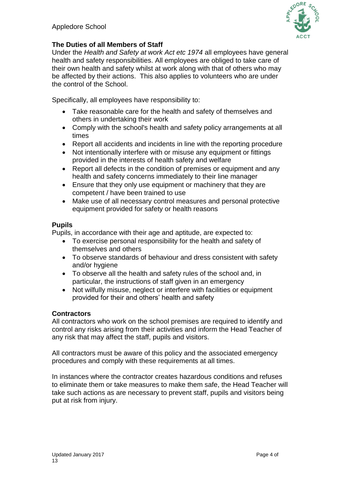

## **The Duties of all Members of Staff**

Under the *Health and Safety at work Act etc 1974* all employees have general health and safety responsibilities. All employees are obliged to take care of their own health and safety whilst at work along with that of others who may be affected by their actions. This also applies to volunteers who are under the control of the School.

Specifically, all employees have responsibility to:

- Take reasonable care for the health and safety of themselves and others in undertaking their work
- Comply with the school's health and safety policy arrangements at all times
- Report all accidents and incidents in line with the reporting procedure
- Not intentionally interfere with or misuse any equipment or fittings provided in the interests of health safety and welfare
- Report all defects in the condition of premises or equipment and any health and safety concerns immediately to their line manager
- Ensure that they only use equipment or machinery that they are competent / have been trained to use
- Make use of all necessary control measures and personal protective equipment provided for safety or health reasons

## **Pupils**

Pupils, in accordance with their age and aptitude, are expected to:

- To exercise personal responsibility for the health and safety of themselves and others
- To observe standards of behaviour and dress consistent with safety and/or hygiene
- To observe all the health and safety rules of the school and, in particular, the instructions of staff given in an emergency
- Not wilfully misuse, neglect or interfere with facilities or equipment provided for their and others' health and safety

### **Contractors**

All contractors who work on the school premises are required to identify and control any risks arising from their activities and inform the Head Teacher of any risk that may affect the staff, pupils and visitors.

All contractors must be aware of this policy and the associated emergency procedures and comply with these requirements at all times.

In instances where the contractor creates hazardous conditions and refuses to eliminate them or take measures to make them safe, the Head Teacher will take such actions as are necessary to prevent staff, pupils and visitors being put at risk from injury.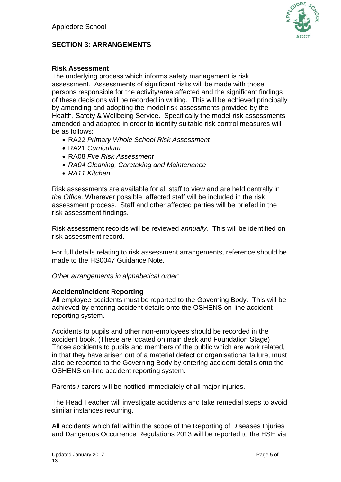

## **SECTION 3: ARRANGEMENTS**

## **Risk Assessment**

The underlying process which informs safety management is risk assessment. Assessments of significant risks will be made with those persons responsible for the activity/area affected and the significant findings of these decisions will be recorded in writing. This will be achieved principally by amending and adopting the model risk assessments provided by the Health, Safety & Wellbeing Service. Specifically the model risk assessments amended and adopted in order to identify suitable risk control measures will be as follows:

- RA22 *Primary Whole School Risk Assessment*
- RA21 *Curriculum*
- RA08 *Fire Risk Assessment*
- *RA04 Cleaning, Caretaking and Maintenance*
- *RA11 Kitchen*

Risk assessments are available for all staff to view and are held centrally in *the Office.* Wherever possible, affected staff will be included in the risk assessment process. Staff and other affected parties will be briefed in the risk assessment findings.

Risk assessment records will be reviewed *annually.* This will be identified on risk assessment record.

For full details relating to risk assessment arrangements, reference should be made to the HS0047 Guidance Note.

*Other arrangements in alphabetical order:*

### **Accident/Incident Reporting**

All employee accidents must be reported to the Governing Body. This will be achieved by entering accident details onto the OSHENS on-line accident reporting system.

Accidents to pupils and other non-employees should be recorded in the accident book. (These are located on main desk and Foundation Stage) Those accidents to pupils and members of the public which are work related, in that they have arisen out of a material defect or organisational failure, must also be reported to the Governing Body by entering accident details onto the OSHENS on-line accident reporting system.

Parents / carers will be notified immediately of all major injuries.

The Head Teacher will investigate accidents and take remedial steps to avoid similar instances recurring.

All accidents which fall within the scope of the Reporting of Diseases Injuries and Dangerous Occurrence Regulations 2013 will be reported to the HSE via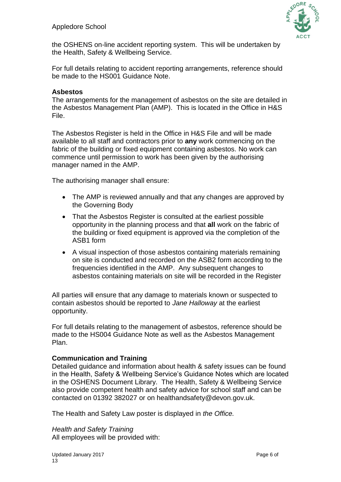

the OSHENS on-line accident reporting system. This will be undertaken by the Health, Safety & Wellbeing Service.

For full details relating to accident reporting arrangements, reference should be made to the HS001 Guidance Note.

#### **Asbestos**

The arrangements for the management of asbestos on the site are detailed in the Asbestos Management Plan (AMP). This is located in the Office in H&S File.

The Asbestos Register is held in the Office in H&S File and will be made available to all staff and contractors prior to **any** work commencing on the fabric of the building or fixed equipment containing asbestos. No work can commence until permission to work has been given by the authorising manager named in the AMP.

The authorising manager shall ensure:

- The AMP is reviewed annually and that any changes are approved by the Governing Body
- That the Asbestos Register is consulted at the earliest possible opportunity in the planning process and that **all** work on the fabric of the building or fixed equipment is approved via the completion of the ASB1 form
- A visual inspection of those asbestos containing materials remaining on site is conducted and recorded on the ASB2 form according to the frequencies identified in the AMP. Any subsequent changes to asbestos containing materials on site will be recorded in the Register

All parties will ensure that any damage to materials known or suspected to contain asbestos should be reported to *Jane Halloway* at the earliest opportunity.

For full details relating to the management of asbestos, reference should be made to the HS004 Guidance Note as well as the Asbestos Management Plan.

### **Communication and Training**

Detailed guidance and information about health & safety issues can be found in the Health, Safety & Wellbeing Service's Guidance Notes which are located in the OSHENS Document Library. The Health, Safety & Wellbeing Service also provide competent health and safety advice for school staff and can be contacted on 01392 382027 or on healthandsafety@devon.gov.uk.

The Health and Safety Law poster is displayed in *the Office.*

*Health and Safety Training* All employees will be provided with: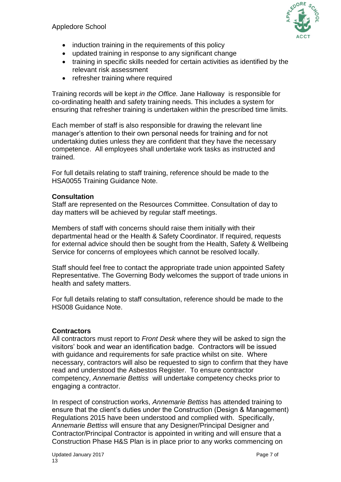

- induction training in the requirements of this policy
- updated training in response to any significant change
- training in specific skills needed for certain activities as identified by the relevant risk assessment
- refresher training where required

Training records will be kept *in the Office.* Jane Halloway is responsible for co-ordinating health and safety training needs. This includes a system for ensuring that refresher training is undertaken within the prescribed time limits.

Each member of staff is also responsible for drawing the relevant line manager's attention to their own personal needs for training and for not undertaking duties unless they are confident that they have the necessary competence. All employees shall undertake work tasks as instructed and trained.

For full details relating to staff training, reference should be made to the HSA0055 Training Guidance Note.

#### **Consultation**

Staff are represented on the Resources Committee. Consultation of day to day matters will be achieved by regular staff meetings.

Members of staff with concerns should raise them initially with their departmental head or the Health & Safety Coordinator. If required, requests for external advice should then be sought from the Health, Safety & Wellbeing Service for concerns of employees which cannot be resolved locally.

Staff should feel free to contact the appropriate trade union appointed Safety Representative. The Governing Body welcomes the support of trade unions in health and safety matters.

For full details relating to staff consultation, reference should be made to the HS008 Guidance Note.

### **Contractors**

All contractors must report to *Front Desk* where they will be asked to sign the visitors' book and wear an identification badge. Contractors will be issued with guidance and requirements for safe practice whilst on site. Where necessary, contractors will also be requested to sign to confirm that they have read and understood the Asbestos Register. To ensure contractor competency, *Annemarie Bettiss* will undertake competency checks prior to engaging a contractor.

In respect of construction works, *Annemarie Bettiss* has attended training to ensure that the client's duties under the Construction (Design & Management) Regulations 2015 have been understood and complied with. Specifically, *Annemarie Bettiss* will ensure that any Designer/Principal Designer and Contractor/Principal Contractor is appointed in writing and will ensure that a Construction Phase H&S Plan is in place prior to any works commencing on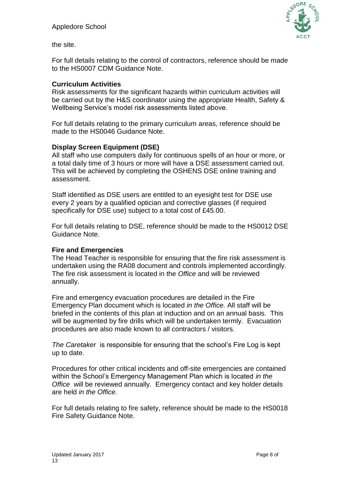

the site.

For full details relating to the control of contractors, reference should be made to the HS0007 CDM Guidance Note.

#### **Curriculum Activities**

Risk assessments for the significant hazards within curriculum activities will be carried out by the H&S coordinator using the appropriate Health, Safety & Wellbeing Service's model risk assessments listed above.

For full details relating to the primary curriculum areas, reference should be made to the HS0046 Guidance Note.

#### **Display Screen Equipment (DSE)**

All staff who use computers daily for continuous spells of an hour or more, or a total daily time of 3 hours or more will have a DSE assessment carried out. This will be achieved by completing the OSHENS DSE online training and assessment.

Staff identified as DSE users are entitled to an eyesight test for DSE use every 2 years by a qualified optician and corrective glasses (if required specifically for DSE use) subject to a total cost of £45.00.

For full details relating to DSE, reference should be made to the HS0012 DSE Guidance Note.

#### **Fire and Emergencies**

The Head Teacher is responsible for ensuring that the fire risk assessment is undertaken using the RA08 document and controls implemented accordingly. The fire risk assessment is located in the *Office* and will be reviewed annually.

Fire and emergency evacuation procedures are detailed in the Fire Emergency Plan document which is located *in the Office.* All staff will be briefed in the contents of this plan at induction and on an annual basis. This will be augmented by fire drills which will be undertaken termly. Evacuation procedures are also made known to all contractors / visitors.

*The Caretaker* is responsible for ensuring that the school's Fire Log is kept up to date.

Procedures for other critical incidents and off-site emergencies are contained within the School's Emergency Management Plan which is located *in the Office* will be reviewed annually. Emergency contact and key holder details are held *in the Office.*

For full details relating to fire safety, reference should be made to the HS0018 Fire Safety Guidance Note.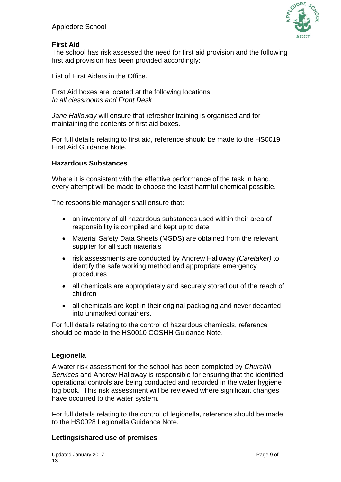

## **First Aid**

The school has risk assessed the need for first aid provision and the following first aid provision has been provided accordingly:

List of First Aiders in the Office.

First Aid boxes are located at the following locations: *In all classrooms and Front Desk*

*Jane Halloway* will ensure that refresher training is organised and for maintaining the contents of first aid boxes.

For full details relating to first aid, reference should be made to the HS0019 First Aid Guidance Note.

## **Hazardous Substances**

Where it is consistent with the effective performance of the task in hand. every attempt will be made to choose the least harmful chemical possible.

The responsible manager shall ensure that:

- an inventory of all hazardous substances used within their area of responsibility is compiled and kept up to date
- Material Safety Data Sheets (MSDS) are obtained from the relevant supplier for all such materials
- risk assessments are conducted by Andrew Halloway *(Caretaker)* to identify the safe working method and appropriate emergency procedures
- all chemicals are appropriately and securely stored out of the reach of children
- all chemicals are kept in their original packaging and never decanted into unmarked containers.

For full details relating to the control of hazardous chemicals, reference should be made to the HS0010 COSHH Guidance Note.

### **Legionella**

A water risk assessment for the school has been completed by *Churchill Services* and Andrew Halloway is responsible for ensuring that the identified operational controls are being conducted and recorded in the water hygiene log book. This risk assessment will be reviewed where significant changes have occurred to the water system.

For full details relating to the control of legionella, reference should be made to the HS0028 Legionella Guidance Note.

## **Lettings/shared use of premises**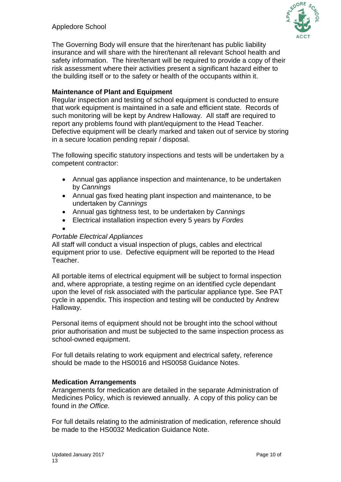## Appledore School



The Governing Body will ensure that the hirer/tenant has public liability insurance and will share with the hirer/tenant all relevant School health and safety information. The hirer/tenant will be required to provide a copy of their risk assessment where their activities present a significant hazard either to the building itself or to the safety or health of the occupants within it.

## **Maintenance of Plant and Equipment**

Regular inspection and testing of school equipment is conducted to ensure that work equipment is maintained in a safe and efficient state. Records of such monitoring will be kept by Andrew Halloway*.* All staff are required to report any problems found with plant/equipment to the Head Teacher. Defective equipment will be clearly marked and taken out of service by storing in a secure location pending repair / disposal.

The following specific statutory inspections and tests will be undertaken by a competent contractor:

- Annual gas appliance inspection and maintenance, to be undertaken by *Cannings*
- Annual gas fixed heating plant inspection and maintenance, to be undertaken by *Cannings*
- Annual gas tightness test, to be undertaken by *Cannings*
- Electrical installation inspection every 5 years by *Fordes*
- 

#### *Portable Electrical Appliances*

All staff will conduct a visual inspection of plugs, cables and electrical equipment prior to use. Defective equipment will be reported to the Head Teacher.

All portable items of electrical equipment will be subject to formal inspection and, where appropriate, a testing regime on an identified cycle dependant upon the level of risk associated with the particular appliance type. See PAT cycle in appendix. This inspection and testing will be conducted by Andrew Halloway.

Personal items of equipment should not be brought into the school without prior authorisation and must be subjected to the same inspection process as school-owned equipment.

For full details relating to work equipment and electrical safety, reference should be made to the HS0016 and HS0058 Guidance Notes.

### **Medication Arrangements**

Arrangements for medication are detailed in the separate Administration of Medicines Policy, which is reviewed annually. A copy of this policy can be found in *the Office.*

For full details relating to the administration of medication, reference should be made to the HS0032 Medication Guidance Note.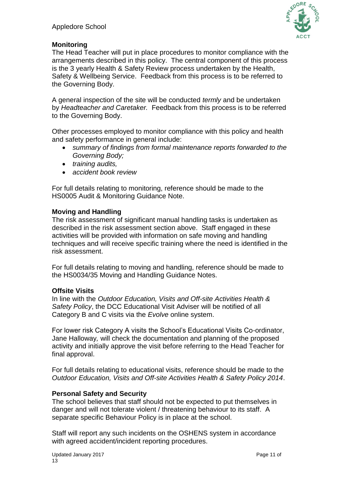

## **Monitoring**

The Head Teacher will put in place procedures to monitor compliance with the arrangements described in this policy. The central component of this process is the 3 yearly Health & Safety Review process undertaken by the Health, Safety & Wellbeing Service. Feedback from this process is to be referred to the Governing Body.

A general inspection of the site will be conducted *termly* and be undertaken by *Headteacher and Caretaker.* Feedback from this process is to be referred to the Governing Body.

Other processes employed to monitor compliance with this policy and health and safety performance in general include:

- *summary of findings from formal maintenance reports forwarded to the Governing Body;*
- *training audits,*
- *accident book review*

For full details relating to monitoring, reference should be made to the HS0005 Audit & Monitoring Guidance Note.

## **Moving and Handling**

The risk assessment of significant manual handling tasks is undertaken as described in the risk assessment section above. Staff engaged in these activities will be provided with information on safe moving and handling techniques and will receive specific training where the need is identified in the risk assessment.

For full details relating to moving and handling, reference should be made to the HS0034/35 Moving and Handling Guidance Notes.

### **Offsite Visits**

In line with the *Outdoor Education, Visits and Off-site Activities Health & Safety Policy*, the DCC Educational Visit Adviser will be notified of all Category B and C visits via the *Evolve* online system.

For lower risk Category A visits the School's Educational Visits Co-ordinator, Jane Halloway*,* will check the documentation and planning of the proposed activity and initially approve the visit before referring to the Head Teacher for final approval.

For full details relating to educational visits, reference should be made to the *Outdoor Education, Visits and Off-site Activities Health & Safety Policy 2014*.

## **Personal Safety and Security**

The school believes that staff should not be expected to put themselves in danger and will not tolerate violent / threatening behaviour to its staff. A separate specific Behaviour Policy is in place at the school.

Staff will report any such incidents on the OSHENS system in accordance with agreed accident/incident reporting procedures.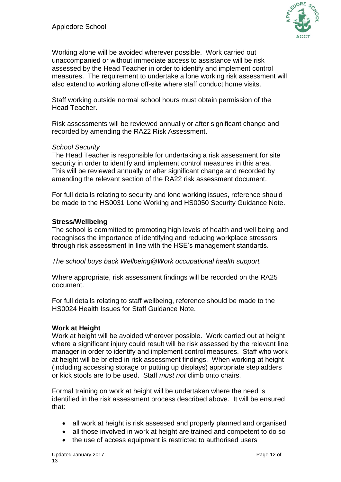

Working alone will be avoided wherever possible. Work carried out unaccompanied or without immediate access to assistance will be risk assessed by the Head Teacher in order to identify and implement control measures. The requirement to undertake a lone working risk assessment will also extend to working alone off-site where staff conduct home visits.

Staff working outside normal school hours must obtain permission of the Head Teacher.

Risk assessments will be reviewed annually or after significant change and recorded by amending the RA22 Risk Assessment.

### *School Security*

The Head Teacher is responsible for undertaking a risk assessment for site security in order to identify and implement control measures in this area. This will be reviewed annually or after significant change and recorded by amending the relevant section of the RA22 risk assessment document.

For full details relating to security and lone working issues, reference should be made to the HS0031 Lone Working and HS0050 Security Guidance Note.

### **Stress/Wellbeing**

The school is committed to promoting high levels of health and well being and recognises the importance of identifying and reducing workplace stressors through risk assessment in line with the HSE's management standards.

*The school buys back Wellbeing@Work occupational health support.*

Where appropriate, risk assessment findings will be recorded on the RA25 document.

For full details relating to staff wellbeing, reference should be made to the HS0024 Health Issues for Staff Guidance Note.

### **Work at Height**

Work at height will be avoided wherever possible. Work carried out at height where a significant injury could result will be risk assessed by the relevant line manager in order to identify and implement control measures. Staff who work at height will be briefed in risk assessment findings. When working at height (including accessing storage or putting up displays) appropriate stepladders or kick stools are to be used. Staff *must not* climb onto chairs.

Formal training on work at height will be undertaken where the need is identified in the risk assessment process described above. It will be ensured that:

- all work at height is risk assessed and properly planned and organised
- all those involved in work at height are trained and competent to do so
- the use of access equipment is restricted to authorised users